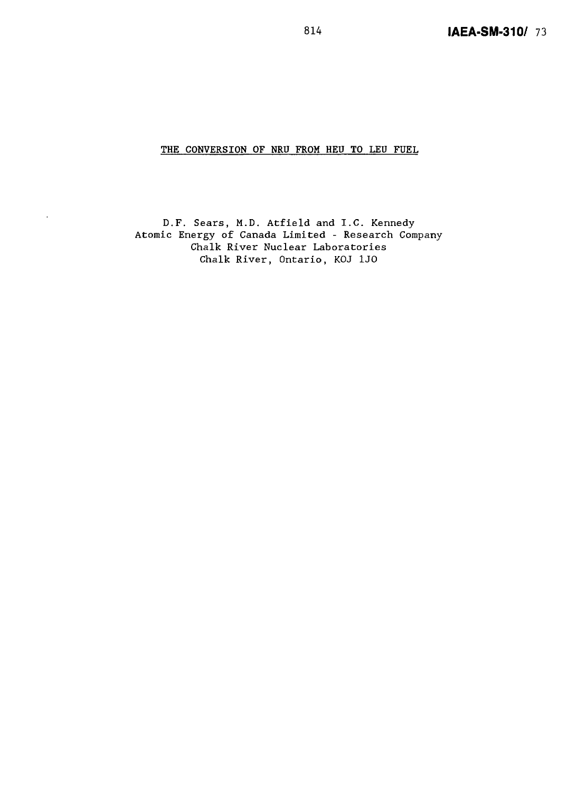#### **THE CONVERSION OF NRU FROM HEU TO** LEU FUEL

D.F. Sears, M.D. Atfield and I.C. Kennedy Atomic Energy of Canada Limited - Research Company Chalk River Nuclear Laboratories Chalk River, Ontario, KOJ 1J0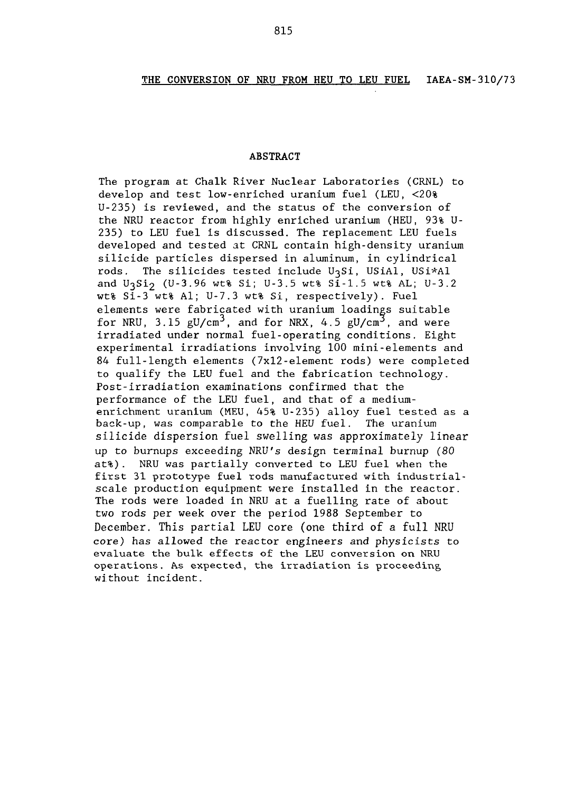#### **ABSTRACT**

The program at Chalk River Nuclear Laboratories (CRNL) to develop and test low-enriched uranium fuel (LEU, <20% U-235) is reviewed, and the status of the conversion of the NRU reactor from highly enriched uranium (HEU, 93% U-235) to LEU fuel is discussed. The replacement LEU fuels developed and tested at CRNL contain high-density uranium silicide particles dispersed in aluminum, in cylindrical rods. The silicides tested include  $U_3Si$ , USiAl, USi\*Al and  $U_3Si_2$  (U-3.96 wt% Si; U-3.5 wt% Si-1.5 wt% AL; U-3.2 wt% Si-3 wt% Al; U-7.3 wt% Si, respectively). Fuel elements were fabricated with uranium loadings suitable for NRU, 3.15  $gU/cm<sup>3</sup>$ , and for NRX, 4.5  $gU/cm<sup>3</sup>$ , and were irradiated under normal fuel-operating conditions. Eight experimental irradiations involving 100 mini-elements and 84 full-length elements (7xl2-element rods) were completed to qualify the LEU fuel and the fabrication technology. Post-irradiation examinations confirmed that the performance of the LEU fuel, and that of a mediumenrichment uranium (MEU, 45% U-235) alloy fuel tested as a back-up, was comparable to the HEU fuel. The uranium silicide dispersion fuel swelling was approximately linear up to burnups exceeding NRU's design terminal burnup (80 at%). NRU was partially converted to LEU fuel when the first 31 prototype fuel rods manufactured with industrialscale production equipment were installed in the reactor. The rods were loaded in NRU at a fuelling rate of about two rods per week over the period 1988 September to December. This partial LEU core (one third of a full NRU core) has allowed the reactor engineers and physicists to evaluate the bulk effects of the LEU conversion on NRU operations. As expected, the irradiation is proceeding without incident.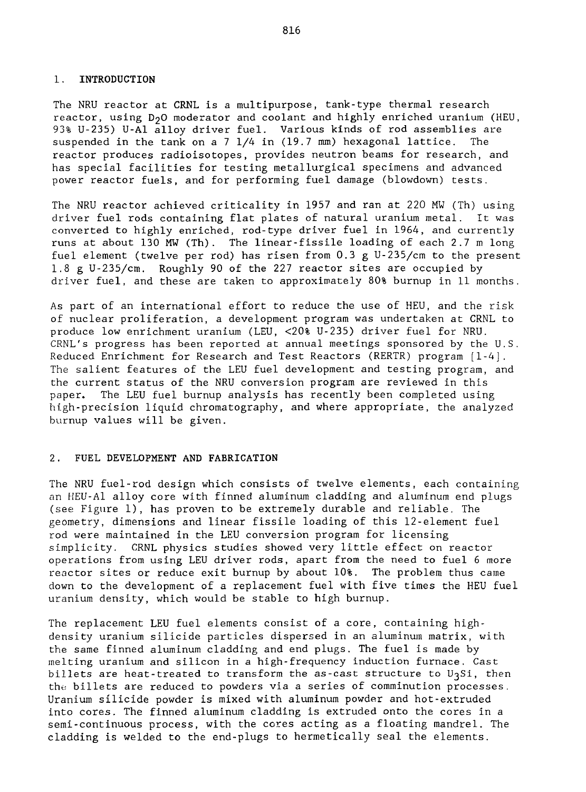#### **1. INTRODUCTION**

The NRU reactor at CRNL is a multipurpose, tank-type thermal research reactor, using D<sub>2</sub>O moderator and coolant and highly enriched uranium (HEU, 93% U-235) U-Al alloy driver fuel. Various kinds of rod assemblies are suspended in the tank on a  $7 \frac{1}{4}$  in (19.7 mm) hexagonal lattice. The reactor produces radioisotopes, provides neutron beams for research, and has special facilities for testing metallurgical specimens and advanced power reactor fuels, and for performing fuel damage (blowdown) tests.

The NRU reactor achieved criticality in 1957 and ran at 220 MW (Th) using driver fuel rods containing flat plates of natural uranium metal. It was converted to highly enriched, rod-type driver fuel in 1964, and currently runs at about 130 MW (Th). The linear-fissile loading of each 2.7 m long fuel element (twelve per rod) has risen from 0.3 g U-235/cm to the present 1.8 g U-235/cm. Roughly 90 of the 227 reactor sites are occupied by driver fuel, and these are taken to approximately 80% burnup in 11 months.

As part of an international effort to reduce the use of HEU, and the risk of nuclear proliferation, a development program was undertaken at CRNL to produce low enrichment uranium (LEU, <20% U-235) driver fuel for NRU. CRNL's progress has been reported at annual meetings sponsored by the U.S. Reduced Enrichment for Research and Test Reactors (RERTR) program [1-4], The salient features of the LEU fuel development and testing program, and the current status of the NRU conversion program are reviewed in this paper. The LEU fuel burnup analysis has recently been completed using high-precision liquid chromatography, and where appropriate, the analyzed burnup values will be given.

## 2. FUEL DEVELOPMENT **AND** FABRICATION

The NRU fuel-rod design which consists of twelve elements, each containing an HEU-A1 alloy core with finned aluminum cladding and aluminum end plugs (see Figure 1), has proven to be extremely durable and reliable. The geometry, dimensions and linear fissile loading of this 12-element fuel rod were maintained in the LEU conversion program for licensing simplicity. CRNL physics studies showed very little effect on reactor operations from using LEU driver rods, apart from the need to fuel 6 more reactor sites or reduce exit burnup by about 10%. The problem thus came down to the development of a replacement fuel with five times the HEU fuel uranium density, which would be stable to high burnup.

The replacement LEU fuel elements consist of a core, containing highdensity uranium silicide particles dispersed in an aluminum matrix, with the same finned aluminum cladding and end plugs. The fuel is made by melting uranium and silicon in a high-frequency induction furnace. Cast billets are heat-treated to transform the as-cast structure to  $U_3Si$ , then the billets are reduced to powders via a series of comminution processes. Uranium silicide powder is mixed with aluminum powder and hot-extruded into cores. The finned aluminum cladding is extruded onto the cores in a semi-continuous process, with the cores acting as a floating mandrel. The cladding is welded to the end-plugs to hermetically seal the elements.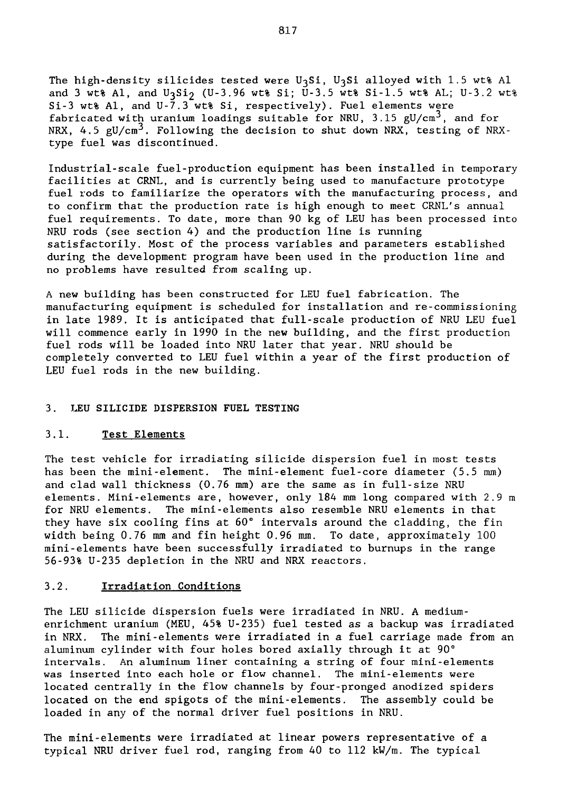The high-density silicides tested were U<sub>3</sub>Si, U<sub>3</sub>Si alloyed with 1.5 wt% Al and 3 wt% Al, and U<sub>3</sub>Si<sub>2</sub> (U-3.96 wt% Si; U-3.5 wt% Si-1.5 wt% AL; U-3.2 wt% Si-3 wt% Al, and U-7.3 wt% Si, respectively). Fuel elements were fabricated with uranium loadings suitable for NRU, 3.15  $gU/cm<sup>3</sup>$ , and for NRX, 4.5  $gU/cm<sup>3</sup>$ . Following the decision to shut down NRX, testing of NRXtype fuel was discontinued.

Industrial-scale fuel-production equipment has been installed in temporary facilities at CRNL, and is currently being used to manufacture prototype fuel rods to familiarize the operators with the manufacturing process, and to confirm that the production rate is high enough to meet CRNL's annual fuel requirements. To date, more than 90 kg of LEU has been processed into NRU rods (see section 4) and the production line is running satisfactorily. Most of the process variables and parameters established during the development program have been used in the production line and no problems have resulted from scaling up.

A new building has been constructed for LEU fuel fabrication. The manufacturing equipment is scheduled for installation and re-commissioning in late 1989. It is anticipated that full-scale production of NRU LEU fuel will commence early in 1990 in the new building, and the first production fuel rods will be loaded into NRU later that year. NRU should be completely converted to LEU fuel within a year of the first production of LEU fuel rods in the new building.

#### 3. **LEU SILICIDE DISPERSION FUEL TESTING**

#### 3.1. **Test Elements**

The test vehicle for irradiating silicide dispersion fuel in most tests has been the mini-element. The mini-element fuel-core diameter (5.5 mm) and clad wall thickness (0.76 mm) are the same as in full-size NRU elements. Mini-elements are, however, only 184 mm long compared with 2.9 m for NRU elements. The mini-elements also resemble NRU elements in that they have six cooling fins at 60° intervals around the cladding, the fin width being 0.76 mm and fin height 0.96 mm. To date, approximately 100 mini-elements have been successfully irradiated to burnups in the range 56-93% U-235 depletion in the NRU and NRX reactors.

#### 3.2. **Irradiation Conditions**

The LEU silicide dispersion fuels were irradiated in NRU. A mediumenrichment uranium (MEU, 45% U-235) fuel tested as a backup was irradiated in NRX. The mini-elements were irradiated in a fuel carriage made from an aluminum cylinder with four holes bored axially through it at 90° intervals. An aluminum liner containing a string of four mini-elements was inserted into each hole or flow channel. The mini-elements were located centrally in the flow channels by four-pronged anodized spiders located on the end spigots of the mini-elements. The assembly could be loaded in any of the normal driver fuel positions in NRU.

The mini-elements were irradiated at linear powers representative of a typical NRU driver fuel rod, ranging from 40 to 112 kW/m. The typical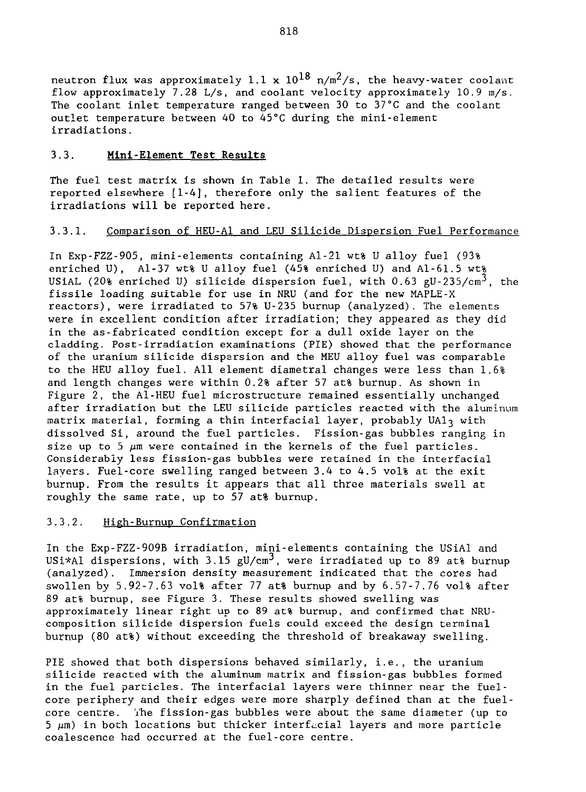neutron flux was approximately 1.1 x  $10^{18}$  n/m<sup>2</sup>/s, the heavy-water coolant flow approximately 7.28 L/s, and coolant velocity approximately 10.9 m/s. The coolant inlet temperature ranged between 30 to 37°C and the coolant outlet temperature between 40 to 45°C during the mini-element irradiations.

# 3.3. **Mini-Element Test Results**

The fuel test matrix is shown in Table 1. The detailed results were reported elsewhere [1-4], therefore only the salient features of the irradiations will be reported here.

# 3.3.1. Comparison of HEU-Al and LEU Silicide Dispersion Fuel Performance

In Exp-FZZ-905, mini-elements containing Al-21 wt% U alloy fuel (93% enriched U), Al-37 wt% U alloy fuel (45% enriched U) and Al-61.5 wt% USiAL (20% enriched U) silicide dispersion fuel, with 0.63 gU-235/cm<sup>3</sup>, the fissile loading suitable for use in NRU (and for the new MAPLE-X reactors), were irradiated to 57% U-235 burnup (analyzed). The elements were in excellent condition after irradiation; they appeared as they did in the as-fabricated condition except for a dull oxide layer on the cladding. Post-irradiation examinations (PIE) showed that the performance of the uranium silicide dispersion and the MEU alloy fuel was comparable to the HEU alloy fuel. All element diametral changes were less than 1.6% and length changes were within 0.2% after 57 at% burnup. As shown in Figure 2, the Al-HEU fuel microstructure remained essentially unchanged after irradiation but the LEU silicide particles reacted with the aluminum matrix material, forming a thin interfacial layer, probably UA1 $_3$  with dissolved Si, around the fuel particles. Fission-gas bubbles ranging in size up to  $5 \mu m$  were contained in the kernels of the fuel particles. Considerably less fission-gas bubbles were retained in the interfacial layers. Fuel-core swelling ranged between 3.4 to 4.5 vol% at the exit burnup. From the results it appears that all three materials swell at roughly the same rate, up to 57 at% burnup.

#### 3.3.2. High-Burnup Confirmation

In the Exp-FZZ-909B irradiation, mini-elements containing the USiAl and USi\*Al dispersions, with 3.15 gU/cm<sup>3</sup>, were irradiated up to 89 at% burnup (analyzed). Immersion density measurement indicated that the cores had swollen by  $5.92 - 7.63$  vol% after 77 at% burnup and by  $6.57 - 7.76$  vol% after 89 at% burnup, see Figure 3. These results showed swelling was approximately linear right up to 89 at% burnup, and confirmed that NRUcomposition silicide dispersion fuels could exceed the design terminal burnup (80 at%) without exceeding the threshold of breakaway swelling.

PIE showed that both dispersions behaved similarly, i.e., the uranium silicide reacted with the aluminum matrix and fission-gas bubbles formed in the fuel particles. The interfacial layers were thinner near the fuelcore periphery and their edges were more sharply defined than at the fuelcore centre. The fission-gas bubbles were about the same diameter (up to  $5 \mu m$ ) in both locations but thicker interfacial layers and more particle coalescence had occurred at the fuel-core centre.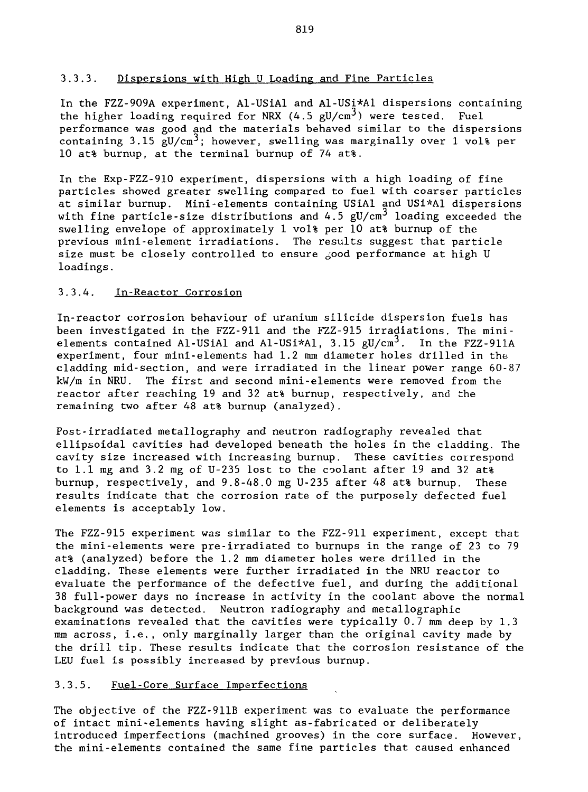#### 3.3.3. Dispersions with High U Loading and Fine Particles

In the FZZ-909A experiment, Al-USiAl and Al-USi\*Al dispersions containing the higher loading required for NRX  $(4.5 \text{ gU/cm}^3)$  were tested. Fuel performance was good and the materials behaved similar to the dispersions containing 3.15 gU/cm<sup>3</sup>; however, swelling was marginally over 1 vol<sup>2</sup> per 10 at% burnup, at the terminal burnup of 74 at%.

In the Exp-FZZ-910 experiment, dispersions with a high loading of fine particles showed greater swelling compared to fuel with coarser particles at similar burnup. Mini-elements containing USiAl and USi\*Al dispersions with fine particle-size distributions and  $4.5$  gU/cm<sup>3</sup> loading exceeded the swelling envelope of approximately 1 vol% per 10 at% burnup of the previous mini-element irradiations. The results suggest that particle size must be closely controlled to ensure good performance at high U loadings.

## 3.3.4. In-Reactor Corrosion

In-reactor corrosion behaviour of uranium silicide dispersion fuels has been investigated in the FZZ-911 and the FZZ-915 irradiations. The minielements contained Al-USiAl and Al-USi\*Al, 3.15  $gU/cm<sup>3</sup>$ . In the FZZ-911A experiment, four mini-elements had 1.2 mm diameter holes drilled in the cladding mid-section, and were irradiated in the linear power range 60-87 kW/m in NRU. The first and second mini-elements were removed from the reactor after reaching 19 and 32 at% burnup, respectively, and the remaining two after 48 at% burnup (analyzed).

Post-irradiated metallography and neutron radiography revealed that ellipsoidal cavities had developed beneath the holes in the cladding. The cavity size increased with increasing burnup. These cavities correspond to 1.1 mg and 3.2 mg of U-235 lost to the coolant after 19 and 32 at  $\epsilon$ burnup, respectively, and 9.8-48.0 mg U-235 after 48 at% burnup. These results indicate that the corrosion rate of the purposely defected fuel elements is acceptably low.

The FZZ-915 experiment was similar to the FZZ-911 experiment, except that the mini-elements were pre-irradiated to burnups in the range of 23 to 79 at% (analyzed) before the 1.2 mm diameter holes were drilled in the cladding. These elements were further irradiated in the NRU reactor to evaluate the performance of the defective fuel, and during the additional 38 full-power days no increase in activity in the coolant above the normal background was detected. Neutron radiography and metallographic examinations revealed that the cavities were typically 0.7 mm deep by 1.3 mm across, i.e., only marginally larger than the original cavity made by the drill tip. These results indicate that the corrosion resistance of the LEU fuel is possibly increased by previous burnup.

#### 3.3.5. Fuel-Core Surface Imperfections

The objective of the FZZ-911B experiment was to evaluate the performance of intact mini-elements having slight as-fabricated or deliberately introduced imperfections (machined grooves) in the core surface. However, the mini-elements contained the same fine particles that caused enhanced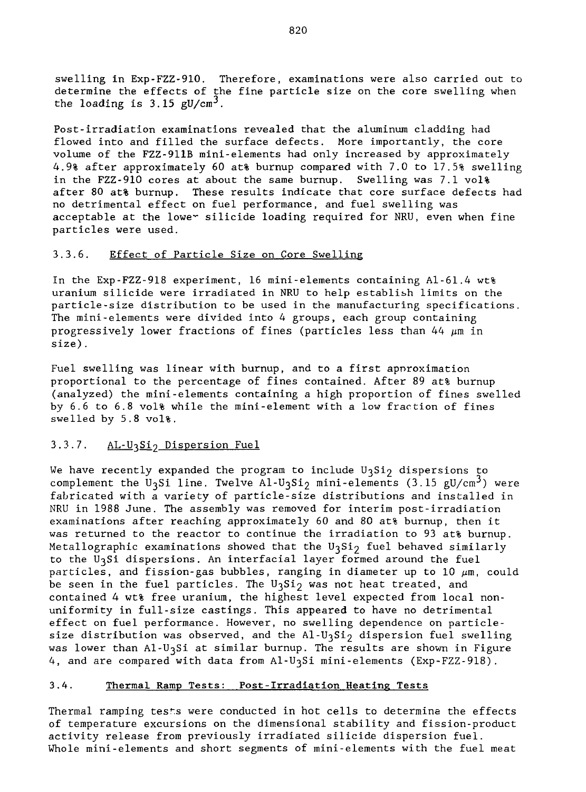swelling in Exp-FZZ-910. Therefore, examinations were also carried out to determine the effects of the fine particle size on the core swelling when the loading is 3.15  $gU/cm<sup>3</sup>$ .

Post-irradiation examinations revealed that the aluminum cladding had flowed into and filled the surface defects. More importantly, the core volume of the FZZ-911B mini-elements had only increased by approximately 4.9% after approximately 60 at% burnup compared with 7.0 to 17.5% swelling in the FZZ-910 cores at about the same burnup. Swelling was 7.1 vol% after 80 at% burnup. These results indicate that core surface defects had no detrimental effect on fuel performance, and fuel swelling was acceptable at the lowe" silicide loading required for NRU, even when fine particles were used.

## 3.3.6. Effect of Particle Size on Core Swelling

In the Exp-FZZ-918 experiment, 16 mini-elements containing Al-61.4 wt% uranium silicide were irradiated in NRU to help establish limits on the particle-size distribution to be used in the manufacturing specifications. The mini-elements were divided into 4 groups, each group containing progressively lower fractions of fines (particles less than 44  $\mu$ m in size).

Fuel swelling was linear with burnup, and to a first approximation proportional to the percentage of fines contained. After 89 at% burnup (analyzed) the mini-elements containing a high proportion of fines swelled by 6.6 to 6.8 vol% while the mini-element with a low fraction of fines swelled by 5.8 vol%.

## 3.3.7. AL-U3Si<sub>2</sub> Dispersion Fuel

We have recently expanded the program to include U3Si2 dispersions to complement the U<sub>3</sub>Si line. Twelve Al-U<sub>3</sub>Si<sub>2</sub> mini-elements (3.15 gU/cm<sup>3</sup>) were fabricated with a variety of particle-size distributions and installed in NRU in 1988 June. The assembly was removed for interim post-irradiation examinations after reaching approximately 60 and 80 at% burnup, then it was returned to the reactor to continue the irradiation to 93 at% burnup. Metallographic examinations showed that the U3Si<sub>2</sub> fuel behaved similarly to the U3Si dispersions. An interfacial layer formed around the fuel particles, and fission-gas bubbles, ranging in diameter up to 10  $\mu$ m, could be seen in the fuel particles. The  $U_3Si_2$  was not heat treated, and contained 4 wt% free uranium, the highest level expected from local nonuniformity in full-size castings. This appeared to have no detrimental effect on fuel performance. However, no swelling dependence on particlesize distribution was observed, and the Al-U<sub>3</sub>Si<sub>2</sub> dispersion fuel swelling was lower than Al-U<sub>3</sub>Si at similar burnup. The results are shown in Figure 4, and are compared with data from Al-U<sub>3</sub>Si mini-elements (Exp-FZZ-918).

# 3.4. Thermal Ramp Tests: Post-Irradiation Heating Tests

Thermal ramping tests were conducted in hot cells to determine the effects of temperature excursions on the dimensional stability and fission-product activity release from previously irradiated silicide dispersion fuel. Whole mini-elements and short segments of mini-elements with the fuel meat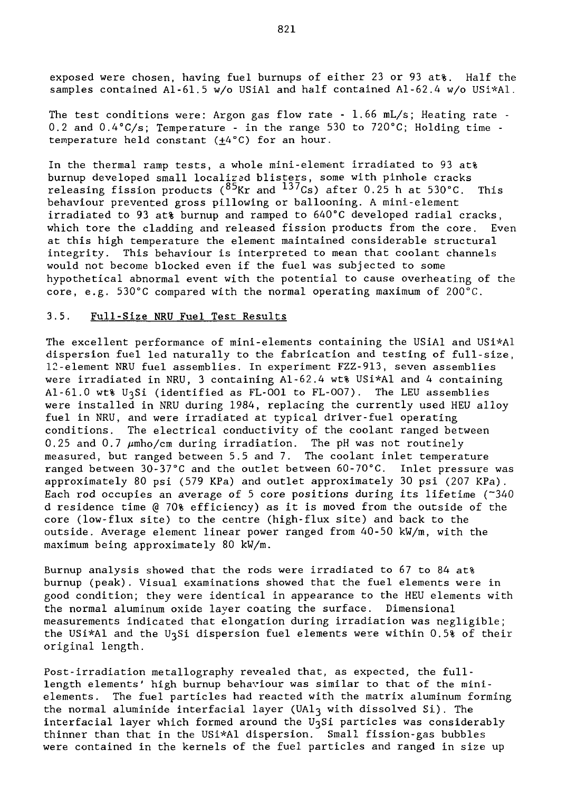exposed were chosen, having fuel burnups of either 23 or 93 at%. Half the samples contained Al-61.5 w/o USiAl and half contained Al-62.4 w/o USi\*Al.

The test conditions were: Argon gas flow rate  $\cdot$  1.66 mL/s; Heating rate  $\cdot$ 0.2 and 0.4°C/s; Temperature - in the range 530 to 72O°C; Holding time temperature held constant  $(\pm 4^{\circ}C)$  for an hour.

In the thermal ramp tests, a whole mini-element irradiated to 93 at% burnup developed small localized blisters, some with pinhole cracks releasing fission products ( $^{85}$ Kr and  $^{137}$ Cs) after 0.25 h at 530°C. This behaviour prevented gross pillowing or ballooning. A mini-element irradiated to 93 at% burnup and ramped to 640°C developed radial cracks, which tore the cladding and released fission products from the core. Even at this high temperature the element maintained considerable structural integrity. This behaviour is interpreted to mean that coolant channels would not become blocked even if the fuel was subjected to some hypothetical abnormal event with the potential to cause overheating of the core, e.g. 530°C compared with the normal operating maximum of 200°C.

#### 3.5. Full-Size NRU Fuel Test Results

The excellent performance of mini-elements containing the USiAl and USi\*Al dispersion fuel led naturally to the fabrication and testing of full-size, 12-element NRU fuel assemblies. In experiment FZZ-913, seven assemblies were irradiated in NRU, 3 containing Al-62.4 wt% USi\*Al and 4 containing Al-61.0 wt% U3Si (identified as FL-001 to FL-OO7). The LEU assemblies were installed in NRU during 1984, replacing the currently used HEU alloy fuel in NRU, and were irradiated at typical driver-fuel operating conditions. The electrical conductivity of the coolant ranged between 0.25 and 0.7  $\mu$ mho/cm during irradiation. The pH was not routinely measured, but ranged between 5.5 and 7. The coolant inlet temperature ranged between 30-37°C and the outlet between 60-70°C. Inlet pressure was approximately 80 psi (579 KPa) and outlet approximately 30 psi (207 KPa). Each rod occupies an average of 5 core positions during its lifetime (~340 d residence time @ 70% efficiency) as it is moved from the outside of the core (low-flux site) to the centre (high-flux site) and back to the outside. Average element linear power ranged from 40-50 kW/m, with the maximum being approximately 80 kW/m.

Burnup analysis showed that the rods were irradiated to 67 to 84 at% burnup (peak). Visual examinations showed that the fuel elements were in good condition; they were identical in appearance to the HEU elements with the normal aluminum oxide layer coating the surface. Dimensional measurements indicated that elongation during irradiation was negligible; the USi\*Al and the U<sub>3</sub>Si dispersion fuel elements were within  $0.5\$  of their original length.

Post-irradiation metallography revealed that, as expected, the fulllength elements' high burnup behaviour was similar to that of the minielements. The fuel particles had reacted with the matrix aluminum forming the normal aluminide interfacial layer (UAI3 with dissolved Si). The interfacial layer which formed around the  $U_3 Si$  particles was considerably thinner than that in the USi\*Al dispersion. Small fission-gas bubbles were contained in the kernels of the fuel particles and ranged in size up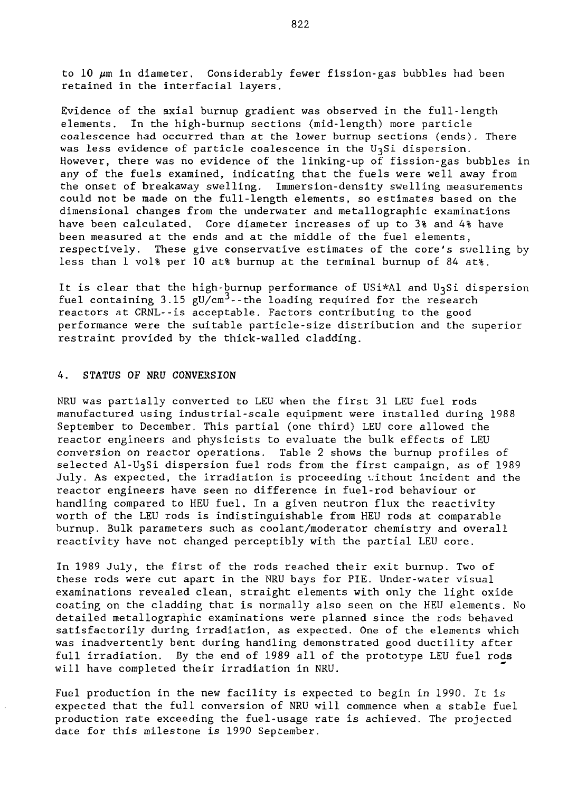to 10  $\mu$ m in diameter. Considerably fewer fission-gas bubbles had been retained in the interfacial layers.

Evidence of the axial burnup gradient was observed in the full-length elements. In the high-burnup sections (mid-length) more particle coalescence had occurred than at the lower burnup sections (ends). There was less evidence of particle coalescence in the U<sub>3</sub>Si dispersion. However, there was no evidence of the linking-up of fission-gas bubbles in any of the fuels examined, indicating that the fuels were well away from the onset of breakaway swelling. Immersion-density swelling measurements could not be made on the full-length elements, so estimates based on the dimensional changes from the underwater and metallographic examinations have been calculated. Core diameter increases of up to 3% and 4% have been measured at the ends and at the middle of the fuel elements, respectively. These give conservative estimates of the core's swelling by less than 1 vol% per 10 at% burnup at the terminal burnup of 84 at%.

It is clear that the high-burnup performance of USi\*Al and U<sub>3</sub>Si dispersion fuel containing  $3.15 \text{ gU/cm}^3$ --the loading required for the research reactors at CRNL--is acceptable. Factors contributing to the good performance were the suitable particle-size distribution and the superior restraint provided by the thick-walled cladding.

#### **4. STATUS OF NRU CONVERSION**

NRU was partially converted to LEU when the first 31 LEU fuel rods manufactured using industrial-scale equipment were installed during 1988 September to December. This partial (one third) LEU core allowed the reactor engineers and physicists to evaluate the bulk effects of LEU conversion on reactor operations. Table 2 shows the burnup profiles of selected Al-U3Si dispersion fuel rods from the first campaign, as of 1989 July. As expected, the irradiation is proceeding without incident and the reactor engineers have seen no difference in fuel-rod behaviour or handling compared to HEU fuel. In a given neutron flux the reactivity worth of the LEU rods is indistinguishable from HEU rods at comparable burnup. Bulk parameters such as coolant/moderator chemistry and overall reactivity have not changed perceptibly with the partial LEU core.

In 1989 July, the first of the rods reached their exit burnup. Two of these rods were cut apart in the NRU bays for PIE. Under-water visual examinations revealed clean, straight elements with only the light oxide coating on the cladding that is normally also seen on the HEU elements. No detailed metallographic examinations were planned since the rods behaved satisfactorily during irradiation, as expected. One of the elements which was inadvertently bent during handling demonstrated good ductility after full irradiation. By the end of 1989 all of the prototype LEU fuel rods will have completed their irradiation in NRU.

Fuel production in the new facility is expected to begin in 1990. It is expected that the full conversion of NRU will commence when a stable fuel production rate exceeding the fuel-usage rate is achieved. The projected date for this milestone is 1990 September.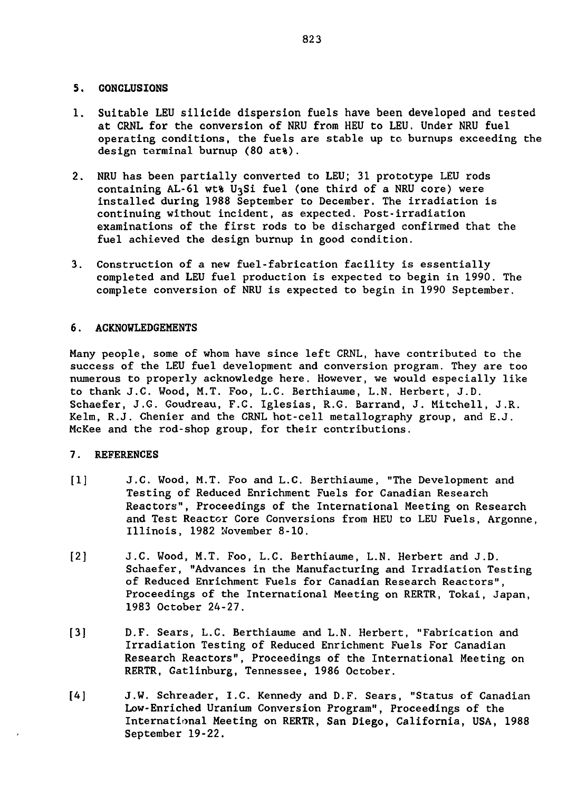#### 5. CONCLUSIONS

- 1. Suitable LEU silicide dispersion fuels have been developed and tested at CRNL for the conversion of NRU from HEU to LEU. Under NRU fuel operating conditions, the fuels are stable up to burnups exceeding the design terminal burnup (80 at%).
- 2. NRU has been partially converted to LEU; 31 prototype LEU rods containing  $AL-61$  wt% U<sub>3</sub>Si fuel (one third of a NRU core) were installed during 1988 September to December. The irradiation is continuing without incident, as expected. Post-irradiation examinations of the first rods to be discharged confirmed that the fuel achieved the design burnup in good condition.
- 3. Construction of a new fuel-fabrication facility is essentially completed and LEU fuel production is expected to begin in 1990. The complete conversion of NRU is expected to begin in 1990 September.

## 6. ACKNOWLEDGEMENTS

Many people, some of whom have since left CRNL, have contributed to the success of the LEU fuel development and conversion program. They are too numerous to properly acknowledge here. However, we would especially like to thank J.C. Wood, M.T. Foo, L.C. Berthiaume, L.N. Herbert, J.D. Schaefer, J.G. Goudreau, F.C. Iglesias, R.G. Barrand, J. Mitchell, J.R. Kelm, R.J. Chenier and the CRNL hot-cell metallography group, and E.J. McKee and the rod-shop group, for their contributions.

## 7. REFERENCES

- [1] J.C. Wood, M.T. Foo and L.C. Berthiaume, "The Development and Testing of Reduced Enrichment Fuels for Canadian Research Reactors", Proceedings of the International Meeting on Research and Test Reactor Core Conversions from HEU to LEU Fuels, Argonne, Illinois, 1982 November 8-10.
- [2] J.C. Wood, M.T. Foo, L.C. Berthiaume, L.N. Herbert and J.D. Schaefer, "Advances in the Manufacturing and Irradiation Testing of Reduced Enrichment Fuels for Canadian Research Reactors", Proceedings of the International Meeting on RERTR, Tokai, Japan, 1983 October 24-27.
- [3] D.F. Sears, L.C. Berthiaume and L.N. Herbert, "Fabrication and Irradiation Testing of Reduced Enrichment Fuels For Canadian Research Reactors", Proceedings of the International Meeting on RERTR, Gatlinburg, Tennessee, 1986 October.
- [4] J.W. Schreader, I.C. Kennedy and D.F. Sears, "Status of Canadian Low-Enriched Uranium Conversion Program", Proceedings of the International Meeting on RERTR, San Diego, California, USA, 1988 September 19-22.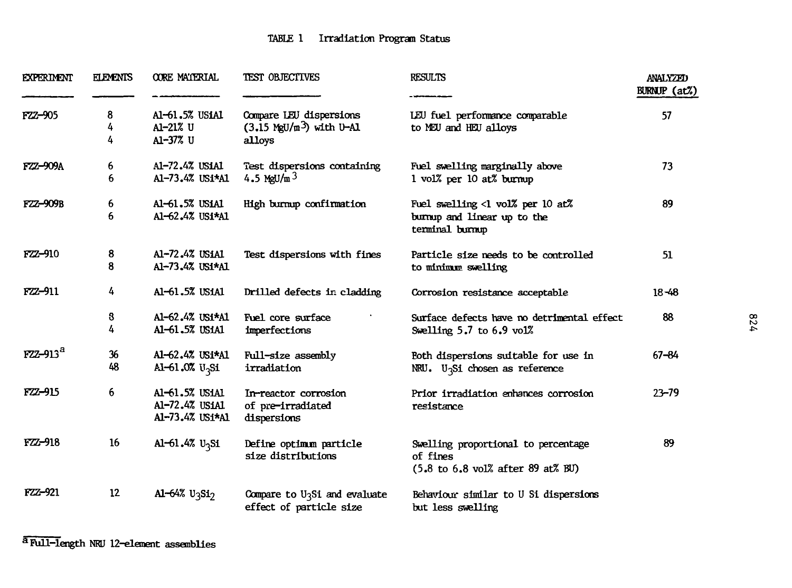# TABLE 1 Irradiation Program Status

| <b>EXPERIMENT</b>    | <b>ELEMENTS</b> | <b>OORE MATERIAL</b>                                | <b>TEST OBJECTIVES</b>                                                  | <b>RESULTS</b>                                                                                                                     | <b>ANALYZED</b><br>BURNUP $(at%)$ |
|----------------------|-----------------|-----------------------------------------------------|-------------------------------------------------------------------------|------------------------------------------------------------------------------------------------------------------------------------|-----------------------------------|
| <b>FZZ-905</b>       | 8<br>4<br>4     | A1-61.5% USiA1<br>A1-21% U<br>A1-37% U              | Compare LEU dispersions<br>$(3.15 \text{ MgU/m}^3)$ with U-Al<br>alloys | LEU fuel performance comparable<br>to MEU and HEU alloys                                                                           | 57                                |
| <b>FZZ-909A</b>      | 6<br>6          | A1-72.4% USIA1<br>A1-73.4% USi*A1                   | Test dispersions containing<br>4.5 MgU/m <sup>3</sup>                   | Fuel swelling marginally above<br>1 vol% per 10 at% burnup                                                                         | 73                                |
| FZZ-909B             | 6<br>6          | Al-61.5% USiAl<br>A1-62.4% USi*A1                   | High burmup confirmation                                                | Fuel swelling <1 vol% per 10 at%<br>burnup and linear up to the<br>terminal burnup                                                 | 89                                |
| FZZ-910              | 8<br>8          | A1-72.4% US1A1<br>A1-73.4% US1*A1                   | Test dispersions with fines                                             | Particle size needs to be controlled<br>to minimum swelling                                                                        | 51                                |
| FZZ-911              | 4               | A1-61.5% US1A1                                      | Drilled defects in cladding                                             | Corrosion resistance acceptable                                                                                                    | $18 - 48$                         |
|                      | 8<br>4          | Al-62.4% US1*Al<br>A1-61.5% US1A1                   | Fuel core surface<br>imperfections                                      | Surface defects have no detrimental effect<br>Swelling 5.7 to 6.9 vol%                                                             | 88                                |
| FZZ-913 <sup>a</sup> | 36<br>48        | A1-62.4% US1*A1<br>Al-61.0% U <sub>2</sub> Si       | Full-size assembly<br>irradiation                                       | Both dispersions suitable for use in<br>NRU. U <sub>3</sub> Si chosen as reference                                                 | $67 - 84$                         |
| <b>FZZ-915</b>       | 6               | A1-61.5% US1A1<br>A1-72.4% USiA1<br>A1-73.4% US1*A1 | In-reactor corrosion<br>of pre-irradiated<br>dispersions                | Prior irradiation enhances corrosion<br>resistance                                                                                 | $23 - 79$                         |
| FZZ-918              | 16              | Al-61.4% $U_3$ Si                                   | Define optimum particle<br>size distributions                           | Swelling proportional to percentage<br>of fines<br>$(5.8 \text{ to } 6.8 \text{ vol}\% \text{ after } 89 \text{ at}\% \text{ BU})$ | 89                                |
| <b>FZZ-921</b>       | 12              | Al-64% $U_3Si_2$                                    | Compare to U <sub>3</sub> Si and evaluate<br>effect of particle size    | Behaviour similar to U Si dispersions<br>but less swelling                                                                         |                                   |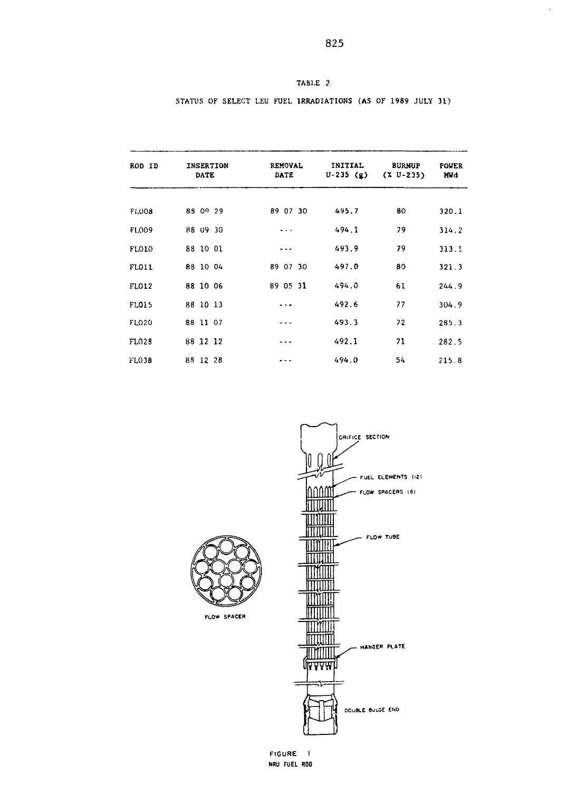| ROD ID       | <b>INSERTION</b><br><b>DATE</b> | <b>REMOVAL</b><br>DATE | INITIAL<br>$U-235(G)$ | <b>BURNUP</b><br>$(X U - 235)$ | <b>POWER</b><br>MWd |
|--------------|---------------------------------|------------------------|-----------------------|--------------------------------|---------------------|
|              |                                 |                        |                       |                                |                     |
| FL008        | 83 09 29                        | 89 07 30               | 495.7                 | 80                             | 320.1               |
| <b>FL009</b> | 88 09 30                        | $\sim$ .               | 494.1                 | 79                             | 314.2               |
| FLO10        | 88 10 01                        |                        | 493.9                 | 79                             | 313.1               |
| FL011        | 88 10 04                        | 89 07 30               | 497.0                 | 80                             | 321.3               |
| FLO12        | 88 10 06                        | 89 05 31               | 494.0                 | 61                             | 244.9               |
| <b>FL015</b> | 88 10 13                        |                        | 492.6                 | 77                             | 304.9               |
| <b>FL020</b> | 88 11 07                        |                        | 493.3                 | 72                             | 285.3               |
| FL023        | 88 12 12                        | ---                    | 492.1                 | 71                             | 282.5               |
| FL038        | 88 12 28                        | $\cdots$               | 494.0                 | 54                             | 215.8               |





**FIGURE I NRU FUEL ROD** 825

 $\ddot{\phantom{0}}$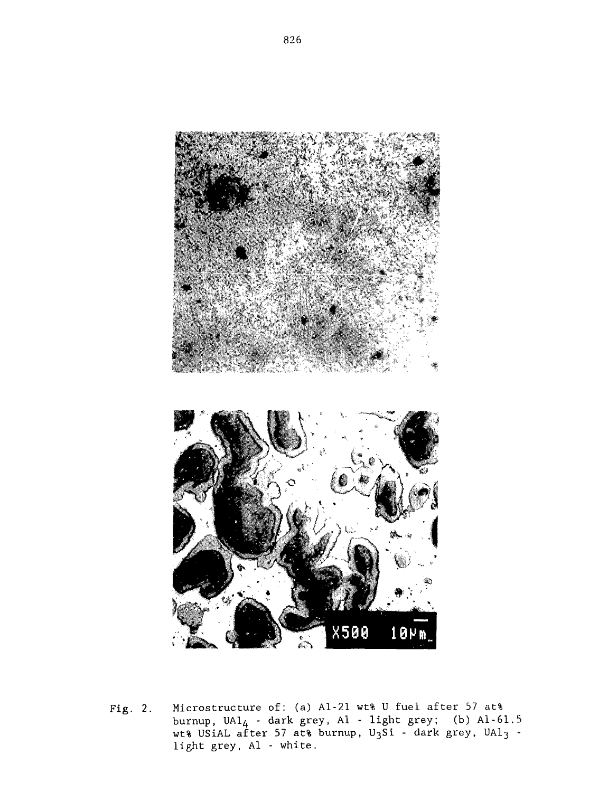

Fig. 2. Microstructure of: (a) Al-21 wt% U fuel after 57 at% burnup, UA $1_4$  - dark grey, Al - light grey; (b) Al-61.5 wt% USiAL after 57 at% burnup, U $_3$ Si - dark grey, UAl $_3$  light grey, Al - white.